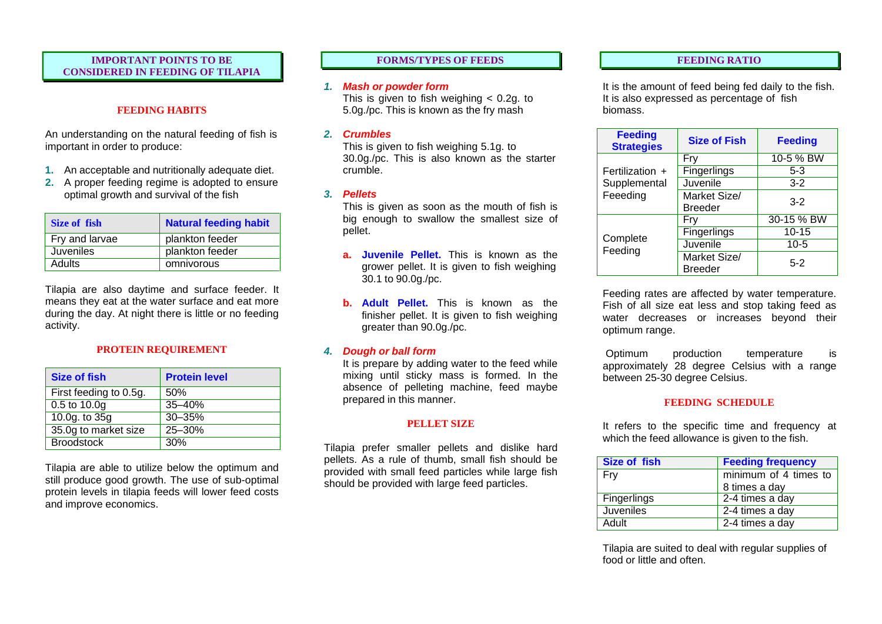# **IMPORTANT POINTS TO BE FORMS/TYPES OF FEEDS FEEDING RATIO CONSIDERED IN FEEDING OF TILAPIA**

# **FEEDING HABITS**

An understanding on the natural feeding of fish is important in order to produce:

- **1.** An acceptable and nutritionally adequate diet.
- **2.** A proper feeding regime is adopted to ensure optimal growth and survival of the fish

| Size of fish   | <b>Natural feeding habit</b> |
|----------------|------------------------------|
| Fry and larvae | plankton feeder              |
| Juveniles      | plankton feeder              |
| Adults         | omnivorous                   |

Tilapia are also daytime and surface feeder. It means they eat at the water surface and eat more during the day. At night there is little or no feeding activity.

## **PROTEIN REQUIREMENT**

| <b>Size of fish</b>    | <b>Protein level</b> |
|------------------------|----------------------|
| First feeding to 0.5g. | 50%                  |
| 0.5 to 10.0g           | $35 - 40%$           |
| 10.0g. to 35g          | $30 - 35%$           |
| 35.0g to market size   | 25-30%               |
| <b>Broodstock</b>      | 30%                  |

Tilapia are able to utilize below the optimum and still produce good growth. The use of sub-optimal protein levels in tilapia feeds will lower feed costs and improve economics.

# *1. Mash or powder form*

This is given to fish weighing < 0.2g. to 5.0g./pc. This is known as the fry mash

### *2. Crumbles*

This is given to fish weighing 5.1g. to 30.0g./pc. This is also known as the starter crumble.

### *3. Pellets*

This is given as soon as the mouth of fish is big enough to swallow the smallest size of pellet.

- **a. Juvenile Pellet.** This is known as the grower pellet. It is given to fish weighing 30.1 to 90.0g./pc.
- **b. Adult Pellet.** This is known as the finisher pellet. It is given to fish weighing greater than 90.0g./pc.

## *4. Dough or ball form*

It is prepare by adding water to the feed while mixing until sticky mass is formed. In the absence of pelleting machine, feed maybe prepared in this manner.

## **PELLET SIZE**

Tilapia prefer smaller pellets and dislike hard pellets. As a rule of thumb, small fish should be provided with small feed particles while large fish should be provided with large feed particles.

It is the amount of feed being fed daily to the fish. It is also expressed as percentage of fish biomass.

| <b>Feeding</b><br><b>Strategies</b> | <b>Size of Fish</b>            | <b>Feeding</b> |
|-------------------------------------|--------------------------------|----------------|
| Fertilization +                     | Fry                            | 10-5 % BW      |
|                                     | Fingerlings                    | $5-3$          |
| Supplemental                        | Juvenile                       | $3-2$          |
| Feeeding                            | Market Size/                   | $3-2$          |
|                                     | <b>Breeder</b>                 |                |
| Complete<br>Feeding                 | Fry                            | 30-15 % BW     |
|                                     | Fingerlings                    | $10 - 15$      |
|                                     | Juvenile                       | $10-5$         |
|                                     | Market Size/<br><b>Breeder</b> | 5-2            |

Feeding rates are affected by water temperature. Fish of all size eat less and stop taking feed as water decreases or increases beyond their optimum range.

Optimum production temperature is approximately 28 degree Celsius with a range between 25-30 degree Celsius.

## **FEEDING SCHEDULE**

It refers to the specific time and frequency at which the feed allowance is given to the fish.

| <b>Size of fish</b> | <b>Feeding frequency</b> |
|---------------------|--------------------------|
| Fry                 | minimum of 4 times to    |
|                     | 8 times a day            |
| <b>Fingerlings</b>  | 2-4 times a day          |
| <b>Juveniles</b>    | 2-4 times a day          |
| Adult               | 2-4 times a day          |

Tilapia are suited to deal with regular supplies of food or little and often.